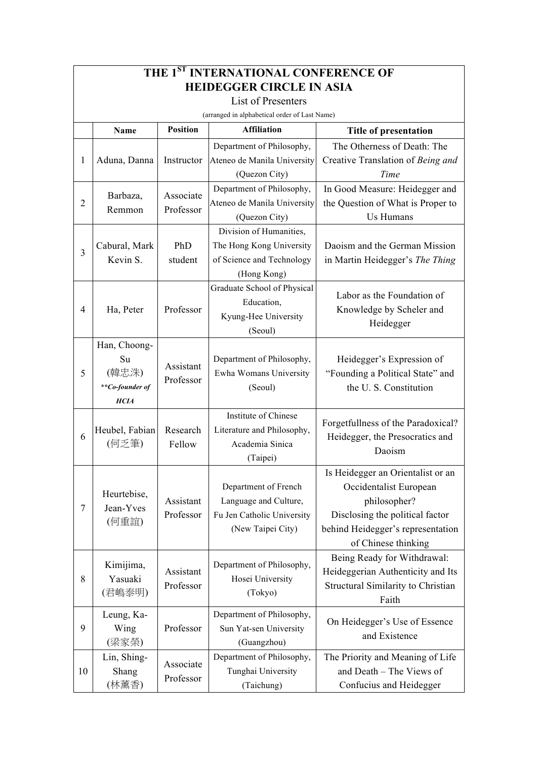| THE 1ST INTERNATIONAL CONFERENCE OF           |                                                               |                        |                                                                                                  |                                                                                                                                                                            |  |  |  |  |
|-----------------------------------------------|---------------------------------------------------------------|------------------------|--------------------------------------------------------------------------------------------------|----------------------------------------------------------------------------------------------------------------------------------------------------------------------------|--|--|--|--|
| <b>HEIDEGGER CIRCLE IN ASIA</b>               |                                                               |                        |                                                                                                  |                                                                                                                                                                            |  |  |  |  |
| <b>List of Presenters</b>                     |                                                               |                        |                                                                                                  |                                                                                                                                                                            |  |  |  |  |
| (arranged in alphabetical order of Last Name) |                                                               |                        |                                                                                                  |                                                                                                                                                                            |  |  |  |  |
|                                               | Name                                                          | <b>Position</b>        | <b>Affiliation</b>                                                                               | Title of presentation                                                                                                                                                      |  |  |  |  |
| 1                                             | Aduna, Danna                                                  | Instructor             | Department of Philosophy,<br>Ateneo de Manila University                                         | The Otherness of Death: The<br>Creative Translation of Being and                                                                                                           |  |  |  |  |
|                                               |                                                               |                        | (Quezon City)                                                                                    | Time                                                                                                                                                                       |  |  |  |  |
| $\overline{2}$                                | Barbaza,                                                      | Associate<br>Professor | Department of Philosophy,<br>Ateneo de Manila University                                         | In Good Measure: Heidegger and<br>the Question of What is Proper to                                                                                                        |  |  |  |  |
|                                               | Remmon                                                        |                        | (Quezon City)                                                                                    | Us Humans                                                                                                                                                                  |  |  |  |  |
| $\overline{3}$                                | Cabural, Mark<br>Kevin S.                                     | PhD<br>student         | Division of Humanities,<br>The Hong Kong University<br>of Science and Technology<br>(Hong Kong)  | Daoism and the German Mission<br>in Martin Heidegger's The Thing                                                                                                           |  |  |  |  |
| 4                                             | Ha, Peter                                                     | Professor              | Graduate School of Physical<br>Education,<br>Kyung-Hee University<br>(Seoul)                     | Labor as the Foundation of<br>Knowledge by Scheler and<br>Heidegger                                                                                                        |  |  |  |  |
| 5                                             | Han, Choong-<br>Su<br>(韓忠洙)<br>**Co-founder of<br><b>HCIA</b> | Assistant<br>Professor | Department of Philosophy,<br>Ewha Womans University<br>(Seoul)                                   | Heidegger's Expression of<br>"Founding a Political State" and<br>the U.S. Constitution                                                                                     |  |  |  |  |
| 6                                             | Heubel, Fabian<br>(何乏筆)                                       | Research<br>Fellow     | Institute of Chinese<br>Literature and Philosophy,<br>Academia Sinica<br>(Taipei)                | Forgetfullness of the Paradoxical?<br>Heidegger, the Presocratics and<br>Daoism                                                                                            |  |  |  |  |
| $\tau$                                        | Heurtebise,<br>Jean-Yves<br>(何重誼)                             | Assistant<br>Professor | Department of French<br>Language and Culture,<br>Fu Jen Catholic University<br>(New Taipei City) | Is Heidegger an Orientalist or an<br>Occidentalist European<br>philosopher?<br>Disclosing the political factor<br>behind Heidegger's representation<br>of Chinese thinking |  |  |  |  |
| 8                                             | Kimijima,<br>Yasuaki<br>(君嶋泰明)                                | Assistant<br>Professor | Department of Philosophy,<br>Hosei University<br>(Tokyo)                                         | Being Ready for Withdrawal:<br>Heideggerian Authenticity and Its<br>Structural Similarity to Christian<br>Faith                                                            |  |  |  |  |
| 9                                             | Leung, Ka-<br>Wing<br>(梁家榮)                                   | Professor              | Department of Philosophy,<br>Sun Yat-sen University<br>(Guangzhou)                               | On Heidegger's Use of Essence<br>and Existence                                                                                                                             |  |  |  |  |
| 10                                            | Lin, Shing-<br>Shang<br>(林薰香)                                 | Associate<br>Professor | Department of Philosophy,<br>Tunghai University<br>(Taichung)                                    | The Priority and Meaning of Life<br>and Death - The Views of<br>Confucius and Heidegger                                                                                    |  |  |  |  |